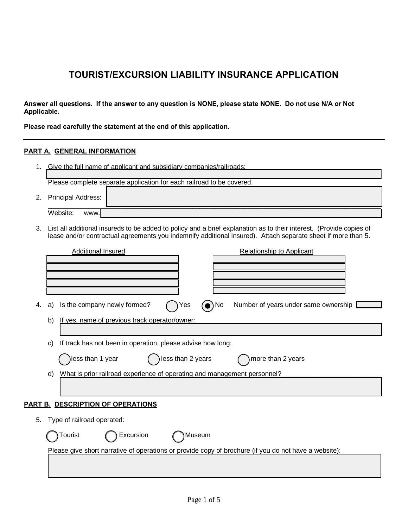# **TOURIST/EXCURSION LIABILITY INSURANCE APPLICATION**

**Answer all questions. If the answer to any question is NONE, please state NONE. Do not use N/A or Not Applicable.** 

**Please read carefully the statement at the end of this application.**

### **PART A. GENERAL INFORMATION**

1. Give the full name of applicant and subsidiary companies/railroads:

 $\mathcal{L}_\mathcal{L} = \mathcal{L}_\mathcal{L} = \mathcal{L}_\mathcal{L} = \mathcal{L}_\mathcal{L} = \mathcal{L}_\mathcal{L} = \mathcal{L}_\mathcal{L} = \mathcal{L}_\mathcal{L} = \mathcal{L}_\mathcal{L} = \mathcal{L}_\mathcal{L} = \mathcal{L}_\mathcal{L} = \mathcal{L}_\mathcal{L} = \mathcal{L}_\mathcal{L} = \mathcal{L}_\mathcal{L} = \mathcal{L}_\mathcal{L} = \mathcal{L}_\mathcal{L} = \mathcal{L}_\mathcal{L} = \mathcal{L}_\mathcal{L}$ Please complete separate application for each railroad to be covered.

- 2. Principal Address:  $\_$  ,  $\_$  ,  $\_$  ,  $\_$  ,  $\_$  ,  $\_$  ,  $\_$  ,  $\_$  ,  $\_$  ,  $\_$  ,  $\_$  ,  $\_$  ,  $\_$  ,  $\_$  ,  $\_$  ,  $\_$  ,  $\_$  ,  $\_$  ,  $\_$  ,  $\_$  ,  $\_$  ,  $\_$  ,  $\_$  ,  $\_$  ,  $\_$  ,  $\_$  ,  $\_$  ,  $\_$  ,  $\_$  ,  $\_$  ,  $\_$  ,  $\_$  ,  $\_$  ,  $\_$  ,  $\_$  ,  $\_$  ,  $\_$  , Website: www.] were not assumed to the contract of the contract of the contract of  $\mathcal{A}$
- 3. List all additional insureds to be added to policy and a brief explanation as to their interest. (Provide copies of lease and/or contractual agreements you indemnify additional insured). Attach separate sheet if more than 5.

|                                  |                                                                                |                  | <b>Additional Insured</b>                                   |                   |                | <b>Relationship to Applicant</b>                                                                      |  |
|----------------------------------|--------------------------------------------------------------------------------|------------------|-------------------------------------------------------------|-------------------|----------------|-------------------------------------------------------------------------------------------------------|--|
|                                  |                                                                                |                  |                                                             |                   |                |                                                                                                       |  |
|                                  |                                                                                |                  |                                                             |                   |                |                                                                                                       |  |
|                                  |                                                                                |                  |                                                             |                   |                |                                                                                                       |  |
| 4.                               | a)                                                                             |                  | Is the company newly formed?                                | Yes               | $\bullet$ ) No | Number of years under same ownership                                                                  |  |
|                                  | b)                                                                             |                  | If yes, name of previous track operator/owner:              |                   |                |                                                                                                       |  |
|                                  |                                                                                |                  |                                                             |                   |                |                                                                                                       |  |
|                                  | C)                                                                             |                  | If track has not been in operation, please advise how long: |                   |                |                                                                                                       |  |
|                                  |                                                                                | less than 1 year |                                                             | less than 2 years |                | more than 2 years                                                                                     |  |
|                                  | What is prior railroad experience of operating and management personnel?<br>d) |                  |                                                             |                   |                |                                                                                                       |  |
|                                  |                                                                                |                  |                                                             |                   |                |                                                                                                       |  |
|                                  | <u>PART B. DESCRIPTION OF OPERATIONS</u>                                       |                  |                                                             |                   |                |                                                                                                       |  |
| Type of railroad operated:<br>5. |                                                                                |                  |                                                             |                   |                |                                                                                                       |  |
|                                  |                                                                                | Tourist          | Excursion                                                   |                   | Museum         |                                                                                                       |  |
|                                  |                                                                                |                  |                                                             |                   |                | Please give short narrative of operations or provide copy of brochure (if you do not have a website): |  |
|                                  |                                                                                |                  |                                                             |                   |                |                                                                                                       |  |
|                                  |                                                                                |                  |                                                             |                   |                |                                                                                                       |  |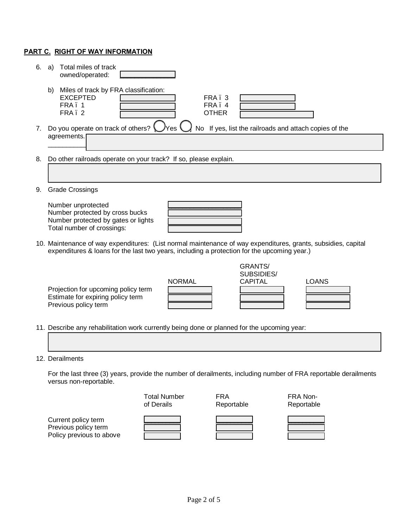### **PART C. RIGHT OF WAY INFORMATION**

| 6.                             | Total miles of track<br>a)<br>owned/operated:                                                                                                                                                                |  |  |  |  |
|--------------------------------|--------------------------------------------------------------------------------------------------------------------------------------------------------------------------------------------------------------|--|--|--|--|
|                                | Miles of track by FRA classification:<br>b)<br><b>EXCEPTED</b><br>FRA. 3<br>FRA. 4<br>FRA 1<br>FRA. 2<br><b>OTHER</b>                                                                                        |  |  |  |  |
| $7_{\scriptscriptstyle{\sim}}$ | If yes, list the railroads and attach copies of the<br>Do you operate on track of others?<br>No.<br>agreements.                                                                                              |  |  |  |  |
| 8.                             | Do other railroads operate on your track? If so, please explain.                                                                                                                                             |  |  |  |  |
| 9.                             | <b>Grade Crossings</b>                                                                                                                                                                                       |  |  |  |  |
|                                | Number unprotected<br>Number protected by cross bucks<br>Number protected by gates or lights<br>Total number of crossings:                                                                                   |  |  |  |  |
|                                | 10. Maintenance of way expenditures: (List normal maintenance of way expenditures, grants, subsidies, capital<br>expenditures & loans for the last two years, including a protection for the upcoming year.) |  |  |  |  |
|                                | <b>GRANTS/</b><br>SUBSIDIES/<br><b>NORMAL</b><br><b>CAPITAL</b><br><b>LOANS</b><br>Projection for upcoming policy term<br>Estimate for expiring policy term<br>Previous policy term                          |  |  |  |  |

11. Describe any rehabilitation work currently being done or planned for the upcoming year:

### 12. Derailments

For the last three (3) years, provide the number of derailments, including number of FRA reportable derailments versus non-reportable.

 $\mathcal{L}_\mathcal{L} = \mathcal{L}_\mathcal{L} = \mathcal{L}_\mathcal{L} = \mathcal{L}_\mathcal{L} = \mathcal{L}_\mathcal{L} = \mathcal{L}_\mathcal{L} = \mathcal{L}_\mathcal{L} = \mathcal{L}_\mathcal{L} = \mathcal{L}_\mathcal{L} = \mathcal{L}_\mathcal{L} = \mathcal{L}_\mathcal{L} = \mathcal{L}_\mathcal{L} = \mathcal{L}_\mathcal{L} = \mathcal{L}_\mathcal{L} = \mathcal{L}_\mathcal{L} = \mathcal{L}_\mathcal{L} = \mathcal{L}_\mathcal{L}$  $\Box$  and the contribution of the contribution of the contribution of the contribution of the contribution of the contribution of the contribution of the contribution of the contribution of the contribution of the contribu

Total Number FRA FRA Non-<br>
of Derails Feportable Reportable Reportable Reportable Current policy term Previous policy term Policy previous to above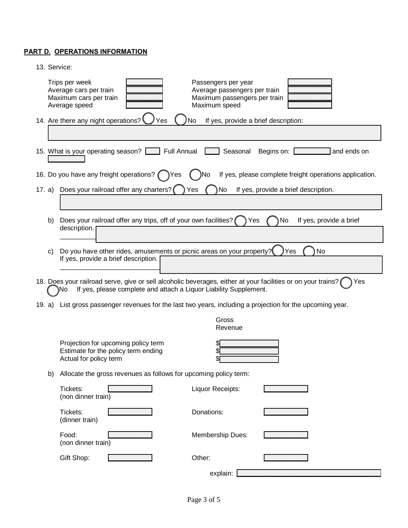## **PART D. OPERATIONS INFORMATION**

| 13. Service:                                                                                                                                                                                    |  |  |  |  |  |  |
|-------------------------------------------------------------------------------------------------------------------------------------------------------------------------------------------------|--|--|--|--|--|--|
| Trips per week<br>Passengers per year<br>Average cars per train<br>Average passengers per train<br>Maximum cars per train<br>Maximum passengers per train<br>Maximum speed<br>Average speed     |  |  |  |  |  |  |
| 14. Are there any night operations?<br>No<br>If yes, provide a brief description:<br>Yes                                                                                                        |  |  |  |  |  |  |
|                                                                                                                                                                                                 |  |  |  |  |  |  |
| 15. What is your operating season? [15] Full Annual<br>Seasonal<br>Begins on: [<br>and ends on                                                                                                  |  |  |  |  |  |  |
| 16. Do you have any freight operations? ( ) Yes<br>If yes, please complete freight operations application.<br>)No                                                                               |  |  |  |  |  |  |
| 17. a) Does your railroad offer any charters?<br>No<br>Yes<br>If yes, provide a brief description.                                                                                              |  |  |  |  |  |  |
|                                                                                                                                                                                                 |  |  |  |  |  |  |
| Does your railroad offer any trips, off of your own facilities?<br>No<br>If yes, provide a brief<br>Yes<br>b)                                                                                   |  |  |  |  |  |  |
| description.                                                                                                                                                                                    |  |  |  |  |  |  |
| Do you have other rides, amusements or picnic areas on your property?<br>No<br>Yes<br>C)                                                                                                        |  |  |  |  |  |  |
| If yes, provide a brief description.                                                                                                                                                            |  |  |  |  |  |  |
| 18. Does your railroad serve, give or sell alcoholic beverages, either at your facilities or on your trains?<br>Yes<br>If yes, please complete and attach a Liquor Liability Supplement.<br>۱No |  |  |  |  |  |  |
| List gross passenger revenues for the last two years, including a projection for the upcoming year.<br>19. a)                                                                                   |  |  |  |  |  |  |
| Gross<br>Revenue                                                                                                                                                                                |  |  |  |  |  |  |
| Projection for upcoming policy term<br>Estimate for the policy term ending<br>Actual for policy term                                                                                            |  |  |  |  |  |  |
|                                                                                                                                                                                                 |  |  |  |  |  |  |
| Allocate the gross revenues as follows for upcoming policy term:<br>b)                                                                                                                          |  |  |  |  |  |  |
| Tickets:<br>Liquor Receipts:<br>(non dinner train)                                                                                                                                              |  |  |  |  |  |  |
| Tickets:<br>Donations:<br>(dinner train)                                                                                                                                                        |  |  |  |  |  |  |
| Food:<br>Membership Dues:<br>(non dinner train)                                                                                                                                                 |  |  |  |  |  |  |
| Gift Shop:<br>Other:                                                                                                                                                                            |  |  |  |  |  |  |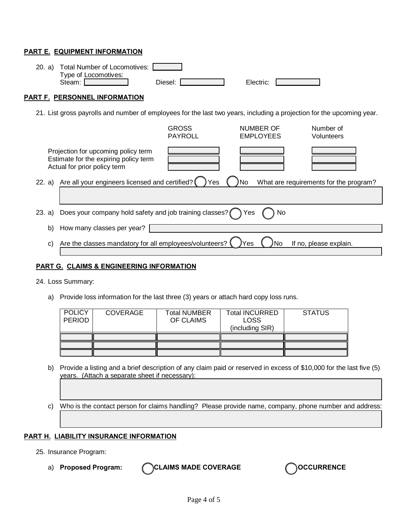### **PART E. EQUIPMENT INFORMATION**

| 20. a)                                                                                                                | <b>Total Number of Locomotives:</b><br>Type of Locomotives:<br>Steam: [                                      | Diesel:                        | Electric:                     |                         |  |  |  |
|-----------------------------------------------------------------------------------------------------------------------|--------------------------------------------------------------------------------------------------------------|--------------------------------|-------------------------------|-------------------------|--|--|--|
| PART F. PERSONNEL INFORMATION                                                                                         |                                                                                                              |                                |                               |                         |  |  |  |
| 21. List gross payrolls and number of employees for the last two years, including a projection for the upcoming year. |                                                                                                              |                                |                               |                         |  |  |  |
|                                                                                                                       |                                                                                                              | <b>GROSS</b><br><b>PAYROLL</b> | NUMBER OF<br><b>EMPLOYEES</b> | Number of<br>Volunteers |  |  |  |
|                                                                                                                       | Projection for upcoming policy term<br>Estimate for the expiring policy term<br>Actual for prior policy term |                                |                               |                         |  |  |  |
| Are all your engineers licensed and certified?<br>What are requirements for the program?<br>22. a)<br>Yes<br>'No      |                                                                                                              |                                |                               |                         |  |  |  |
| 23.                                                                                                                   | Does your company hold safety and job training classes? (<br>Yes<br>a)<br>No                                 |                                |                               |                         |  |  |  |
| b)                                                                                                                    | How many classes per year?                                                                                   |                                |                               |                         |  |  |  |
| C)                                                                                                                    | Are the classes mandatory for all employees/volunteers?<br>If no, please explain.<br>Yes                     |                                |                               |                         |  |  |  |

### **PART G. CLAIMS & ENGINEERING INFORMATION**

#### 24. Loss Summary:

a) Provide loss information for the last three (3) years or attach hard copy loss runs.

| <b>POLICY</b><br><b>PERIOD</b> | <b>COVERAGE</b> | <b>Total NUMBER</b><br>OF CLAIMS | <b>Total INCURRED</b><br><b>LOSS</b><br>(including SIR) | <b>STATUS</b> |
|--------------------------------|-----------------|----------------------------------|---------------------------------------------------------|---------------|
|                                |                 |                                  |                                                         |               |
|                                |                 |                                  |                                                         |               |
|                                |                 |                                  |                                                         |               |

b) Provide a listing and a brief description of any claim paid or reserved in excess of \$10,000 for the last five (5) years. (Attach a separate sheet if necessary):

 $\Box$  and the contribution of the contribution of the contribution of the contribution of the contribution of the contribution of the contribution of the contribution of the contribution of the contribution of the contribu  $\Box$  and the contribution of the contribution of the contribution of the contribution of the contribution of the contribution of the contribution of the contribution of the contribution of the contribution of the contribu

 $\Box$  and the contribution of the contribution of the contribution of the contribution of the contribution of the contribution of the contribution of the contribution of the contribution of the contribution of the contribu

c) Who is the contact person for claims handling? Please provide name, company, phone number and address:  $\mathcal{L}_\mathcal{L} = \{ \mathcal{L}_\mathcal{L} = \{ \mathcal{L}_\mathcal{L} = \{ \mathcal{L}_\mathcal{L} = \{ \mathcal{L}_\mathcal{L} = \{ \mathcal{L}_\mathcal{L} = \{ \mathcal{L}_\mathcal{L} = \{ \mathcal{L}_\mathcal{L} = \{ \mathcal{L}_\mathcal{L} = \{ \mathcal{L}_\mathcal{L} = \{ \mathcal{L}_\mathcal{L} = \{ \mathcal{L}_\mathcal{L} = \{ \mathcal{L}_\mathcal{L} = \{ \mathcal{L}_\mathcal{L} = \{ \mathcal{L}_\mathcal{$ 

### **PART H. LIABILITY INSURANCE INFORMATION**

- 25. Insurance Program:
	-

a) **Proposed Program:** CCLAIMS MADE COVERAGE COVER COOCURRENCE